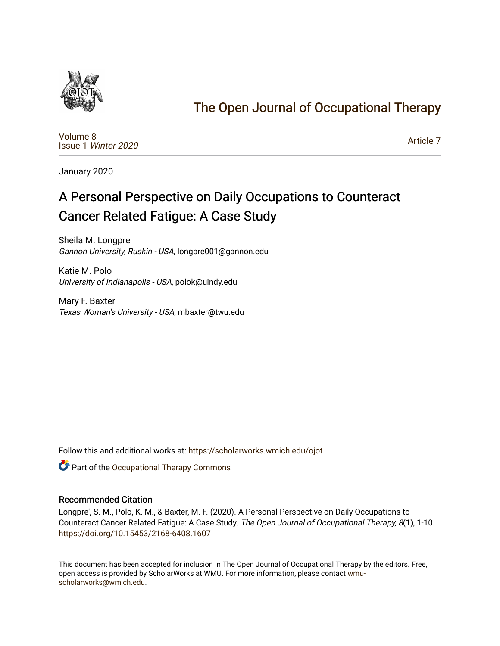

## [The Open Journal of Occupational Therapy](https://scholarworks.wmich.edu/ojot)

[Volume 8](https://scholarworks.wmich.edu/ojot/vol8) Issue 1 [Winter 2020](https://scholarworks.wmich.edu/ojot/vol8/iss1) 

[Article 7](https://scholarworks.wmich.edu/ojot/vol8/iss1/7) 

January 2020

# A Personal Perspective on Daily Occupations to Counteract Cancer Related Fatigue: A Case Study

Sheila M. Longpre' Gannon University, Ruskin - USA, longpre001@gannon.edu

Katie M. Polo University of Indianapolis - USA, polok@uindy.edu

Mary F. Baxter Texas Woman's University - USA, mbaxter@twu.edu

Follow this and additional works at: [https://scholarworks.wmich.edu/ojot](https://scholarworks.wmich.edu/ojot?utm_source=scholarworks.wmich.edu%2Fojot%2Fvol8%2Fiss1%2F7&utm_medium=PDF&utm_campaign=PDFCoverPages)

Part of the [Occupational Therapy Commons](http://network.bepress.com/hgg/discipline/752?utm_source=scholarworks.wmich.edu%2Fojot%2Fvol8%2Fiss1%2F7&utm_medium=PDF&utm_campaign=PDFCoverPages) 

#### Recommended Citation

Longpre', S. M., Polo, K. M., & Baxter, M. F. (2020). A Personal Perspective on Daily Occupations to Counteract Cancer Related Fatigue: A Case Study. The Open Journal of Occupational Therapy, 8(1), 1-10. <https://doi.org/10.15453/2168-6408.1607>

This document has been accepted for inclusion in The Open Journal of Occupational Therapy by the editors. Free, open access is provided by ScholarWorks at WMU. For more information, please contact [wmu](mailto:wmu-scholarworks@wmich.edu)[scholarworks@wmich.edu.](mailto:wmu-scholarworks@wmich.edu)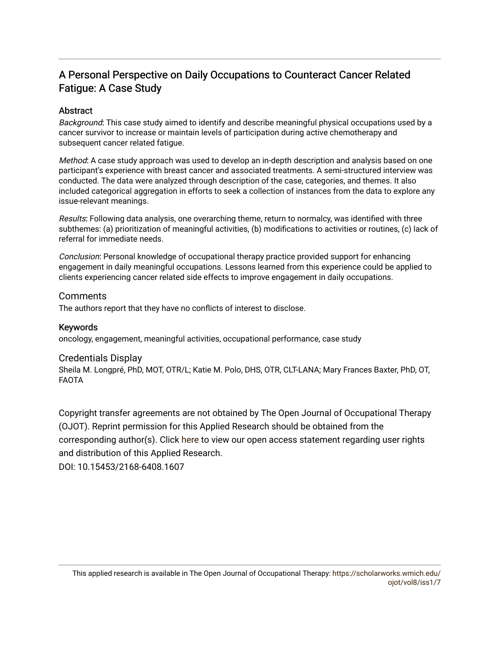## A Personal Perspective on Daily Occupations to Counteract Cancer Related Fatigue: A Case Study

## **Abstract**

Background: This case study aimed to identify and describe meaningful physical occupations used by a cancer survivor to increase or maintain levels of participation during active chemotherapy and subsequent cancer related fatigue.

Method: A case study approach was used to develop an in-depth description and analysis based on one participant's experience with breast cancer and associated treatments. A semi-structured interview was conducted. The data were analyzed through description of the case, categories, and themes. It also included categorical aggregation in efforts to seek a collection of instances from the data to explore any issue-relevant meanings.

Results: Following data analysis, one overarching theme, return to normalcy, was identified with three subthemes: (a) prioritization of meaningful activities, (b) modifications to activities or routines, (c) lack of referral for immediate needs.

Conclusion: Personal knowledge of occupational therapy practice provided support for enhancing engagement in daily meaningful occupations. Lessons learned from this experience could be applied to clients experiencing cancer related side effects to improve engagement in daily occupations.

### **Comments**

The authors report that they have no conflicts of interest to disclose.

## Keywords

oncology, engagement, meaningful activities, occupational performance, case study

## Credentials Display

Sheila M. Longpré, PhD, MOT, OTR/L; Katie M. Polo, DHS, OTR, CLT-LANA; Mary Frances Baxter, PhD, OT, FAOTA

Copyright transfer agreements are not obtained by The Open Journal of Occupational Therapy (OJOT). Reprint permission for this Applied Research should be obtained from the corresponding author(s). Click [here](https://scholarworks.wmich.edu/ojot/policies.html#rights) to view our open access statement regarding user rights and distribution of this Applied Research.

DOI: 10.15453/2168-6408.1607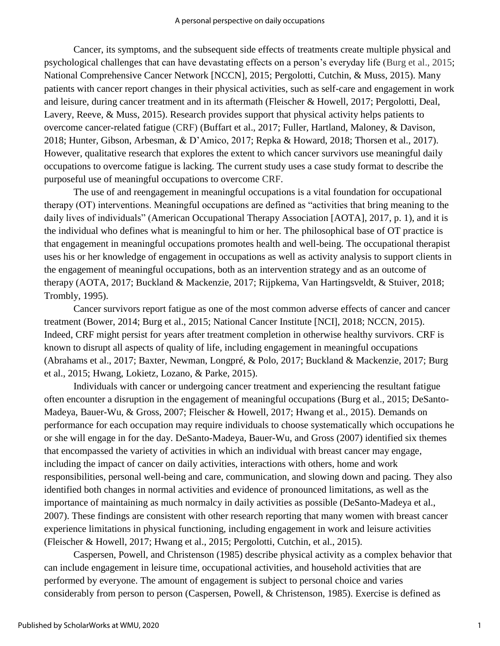Cancer, its symptoms, and the subsequent side effects of treatments create multiple physical and psychological challenges that can have devastating effects on a person's everyday life (Burg et al., 2015; National Comprehensive Cancer Network [NCCN], 2015; Pergolotti, Cutchin, & Muss, 2015). Many patients with cancer report changes in their physical activities, such as self-care and engagement in work and leisure, during cancer treatment and in its aftermath (Fleischer & Howell, 2017; Pergolotti, Deal, Lavery, Reeve, & Muss, 2015). Research provides support that physical activity helps patients to overcome cancer-related fatigue (CRF) (Buffart et al., 2017; Fuller, Hartland, Maloney, & Davison, 2018; Hunter, Gibson, Arbesman, & D'Amico, 2017; Repka & Howard, 2018; Thorsen et al., 2017). However, qualitative research that explores the extent to which cancer survivors use meaningful daily occupations to overcome fatigue is lacking. The current study uses a case study format to describe the purposeful use of meaningful occupations to overcome CRF.

The use of and reengagement in meaningful occupations is a vital foundation for occupational therapy (OT) interventions. Meaningful occupations are defined as "activities that bring meaning to the daily lives of individuals" (American Occupational Therapy Association [AOTA], 2017, p. 1), and it is the individual who defines what is meaningful to him or her*.* The philosophical base of OT practice is that engagement in meaningful occupations promotes health and well-being. The occupational therapist uses his or her knowledge of engagement in occupations as well as activity analysis to support clients in the engagement of meaningful occupations, both as an intervention strategy and as an outcome of therapy (AOTA, 2017; Buckland & Mackenzie, 2017; Rijpkema, Van Hartingsveldt, & Stuiver, 2018; Trombly, 1995).

Cancer survivors report fatigue as one of the most common adverse effects of cancer and cancer treatment (Bower, 2014; Burg et al., 2015; National Cancer Institute [NCI], 2018; NCCN, 2015). Indeed, CRF might persist for years after treatment completion in otherwise healthy survivors. CRF is known to disrupt all aspects of quality of life, including engagement in meaningful occupations (Abrahams et al., 2017; Baxter, Newman, Longpré, & Polo, 2017; Buckland & Mackenzie, 2017; Burg et al., 2015; Hwang, Lokietz, Lozano, & Parke, 2015).

Individuals with cancer or undergoing cancer treatment and experiencing the resultant fatigue often encounter a disruption in the engagement of meaningful occupations (Burg et al., 2015; DeSanto-Madeya, Bauer-Wu, & Gross, 2007; Fleischer & Howell, 2017; Hwang et al., 2015). Demands on performance for each occupation may require individuals to choose systematically which occupations he or she will engage in for the day. DeSanto-Madeya, Bauer-Wu, and Gross (2007) identified six themes that encompassed the variety of activities in which an individual with breast cancer may engage, including the impact of cancer on daily activities, interactions with others, home and work responsibilities, personal well-being and care, communication, and slowing down and pacing. They also identified both changes in normal activities and evidence of pronounced limitations, as well as the importance of maintaining as much normalcy in daily activities as possible (DeSanto-Madeya et al., 2007). These findings are consistent with other research reporting that many women with breast cancer experience limitations in physical functioning, including engagement in work and leisure activities (Fleischer & Howell, 2017; Hwang et al., 2015; Pergolotti, Cutchin, et al., 2015).

Caspersen, Powell, and Christenson (1985) describe physical activity as a complex behavior that can include engagement in leisure time, occupational activities, and household activities that are performed by everyone. The amount of engagement is subject to personal choice and varies considerably from person to person (Caspersen, Powell, & Christenson, 1985). Exercise is defined as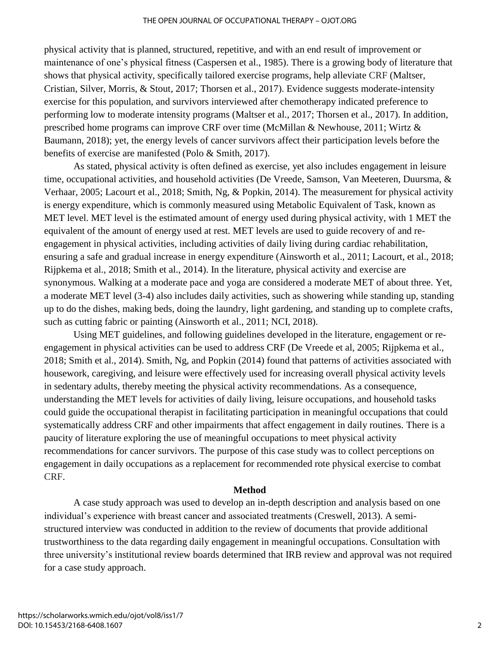physical activity that is planned, structured, repetitive, and with an end result of improvement or maintenance of one's physical fitness (Caspersen et al., 1985). There is a growing body of literature that shows that physical activity, specifically tailored exercise programs, help alleviate CRF (Maltser, Cristian, Silver, Morris, & Stout, 2017; Thorsen et al., 2017). Evidence suggests moderate-intensity exercise for this population, and survivors interviewed after chemotherapy indicated preference to performing low to moderate intensity programs (Maltser et al., 2017; Thorsen et al., 2017). In addition, prescribed home programs can improve CRF over time (McMillan & Newhouse, 2011; Wirtz & Baumann, 2018); yet, the energy levels of cancer survivors affect their participation levels before the benefits of exercise are manifested (Polo & Smith, 2017).

As stated, physical activity is often defined as exercise, yet also includes engagement in leisure time, occupational activities, and household activities (De Vreede, Samson, Van Meeteren, Duursma, & Verhaar, 2005; Lacourt et al., 2018; Smith, Ng, & Popkin, 2014). The measurement for physical activity is energy expenditure, which is commonly measured using Metabolic Equivalent of Task, known as MET level. MET level is the estimated amount of energy used during physical activity, with 1 MET the equivalent of the amount of energy used at rest. MET levels are used to guide recovery of and reengagement in physical activities, including activities of daily living during cardiac rehabilitation, ensuring a safe and gradual increase in energy expenditure (Ainsworth et al., 2011; Lacourt, et al., 2018; Rijpkema et al., 2018; Smith et al., 2014). In the literature, physical activity and exercise are synonymous. Walking at a moderate pace and yoga are considered a moderate MET of about three. Yet, a moderate MET level (3-4) also includes daily activities, such as showering while standing up, standing up to do the dishes, making beds, doing the laundry, light gardening, and standing up to complete crafts, such as cutting fabric or painting (Ainsworth et al., 2011; NCI, 2018).

Using MET guidelines, and following guidelines developed in the literature, engagement or reengagement in physical activities can be used to address CRF (De Vreede et al, 2005; Rijpkema et al., 2018; Smith et al., 2014). Smith, Ng, and Popkin (2014) found that patterns of activities associated with housework, caregiving, and leisure were effectively used for increasing overall physical activity levels in sedentary adults, thereby meeting the physical activity recommendations. As a consequence, understanding the MET levels for activities of daily living, leisure occupations, and household tasks could guide the occupational therapist in facilitating participation in meaningful occupations that could systematically address CRF and other impairments that affect engagement in daily routines. There is a paucity of literature exploring the use of meaningful occupations to meet physical activity recommendations for cancer survivors. The purpose of this case study was to collect perceptions on engagement in daily occupations as a replacement for recommended rote physical exercise to combat CRF.

#### **Method**

A case study approach was used to develop an in-depth description and analysis based on one individual's experience with breast cancer and associated treatments (Creswell, 2013). A semistructured interview was conducted in addition to the review of documents that provide additional trustworthiness to the data regarding daily engagement in meaningful occupations. Consultation with three university's institutional review boards determined that IRB review and approval was not required for a case study approach.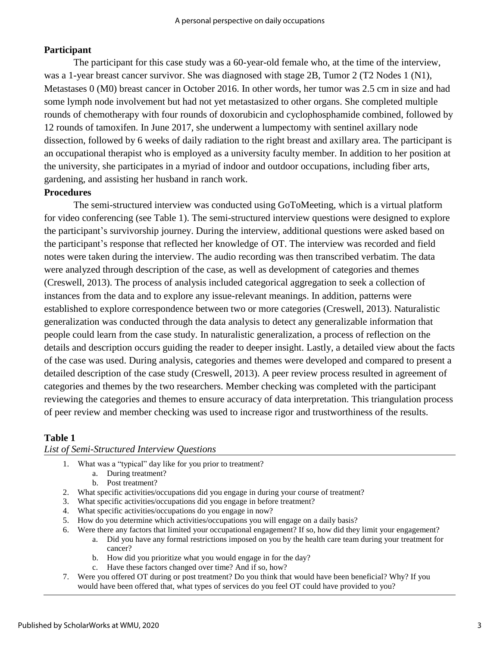## **Participant**

The participant for this case study was a 60-year-old female who, at the time of the interview, was a 1-year breast cancer survivor. She was diagnosed with stage 2B, Tumor 2 (T2 Nodes 1 (N1), Metastases 0 (M0) breast cancer in October 2016. In other words, her tumor was 2.5 cm in size and had some lymph node involvement but had not yet metastasized to other organs. She completed multiple rounds of chemotherapy with four rounds of doxorubicin and cyclophosphamide combined, followed by 12 rounds of tamoxifen. In June 2017, she underwent a lumpectomy with sentinel axillary node dissection, followed by 6 weeks of daily radiation to the right breast and axillary area. The participant is an occupational therapist who is employed as a university faculty member. In addition to her position at the university, she participates in a myriad of indoor and outdoor occupations, including fiber arts, gardening, and assisting her husband in ranch work.

## **Procedures**

The semi-structured interview was conducted using GoToMeeting, which is a virtual platform for video conferencing (see Table 1). The semi-structured interview questions were designed to explore the participant's survivorship journey. During the interview, additional questions were asked based on the participant's response that reflected her knowledge of OT. The interview was recorded and field notes were taken during the interview. The audio recording was then transcribed verbatim. The data were analyzed through description of the case, as well as development of categories and themes (Creswell, 2013). The process of analysis included categorical aggregation to seek a collection of instances from the data and to explore any issue-relevant meanings. In addition, patterns were established to explore correspondence between two or more categories (Creswell, 2013). Naturalistic generalization was conducted through the data analysis to detect any generalizable information that people could learn from the case study. In naturalistic generalization, a process of reflection on the details and description occurs guiding the reader to deeper insight. Lastly, a detailed view about the facts of the case was used. During analysis, categories and themes were developed and compared to present a detailed description of the case study (Creswell, 2013). A peer review process resulted in agreement of categories and themes by the two researchers. Member checking was completed with the participant reviewing the categories and themes to ensure accuracy of data interpretation. This triangulation process of peer review and member checking was used to increase rigor and trustworthiness of the results.

### **Table 1**

#### *List of Semi-Structured Interview Questions*

- 1. What was a "typical" day like for you prior to treatment?
	- a. During treatment?
	- b. Post treatment?
- 2. What specific activities/occupations did you engage in during your course of treatment?
- 3. What specific activities/occupations did you engage in before treatment?
- 4. What specific activities/occupations do you engage in now?
- 5. How do you determine which activities/occupations you will engage on a daily basis?
- 6. Were there any factors that limited your occupational engagement? If so, how did they limit your engagement?
	- a. Did you have any formal restrictions imposed on you by the health care team during your treatment for cancer?
	- b. How did you prioritize what you would engage in for the day?
	- c. Have these factors changed over time? And if so, how?
- 7. Were you offered OT during or post treatment? Do you think that would have been beneficial? Why? If you would have been offered that, what types of services do you feel OT could have provided to you?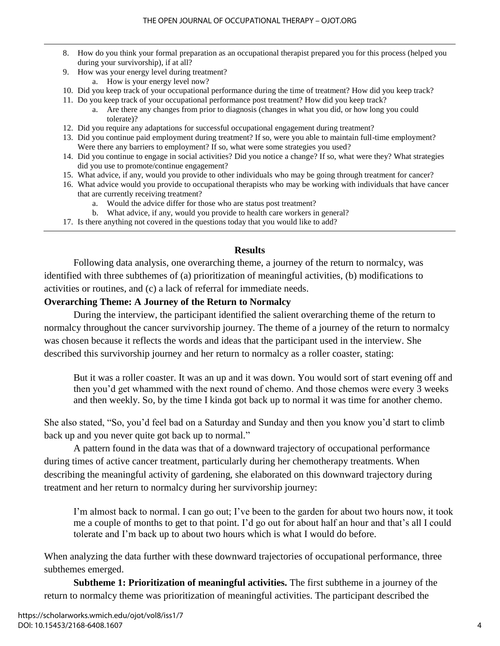- 8. How do you think your formal preparation as an occupational therapist prepared you for this process (helped you during your survivorship), if at all?
- 9. How was your energy level during treatment?
	- a. How is your energy level now?
- 10. Did you keep track of your occupational performance during the time of treatment? How did you keep track?
- 11. Do you keep track of your occupational performance post treatment? How did you keep track?
	- a. Are there any changes from prior to diagnosis (changes in what you did, or how long you could tolerate)?
- 12. Did you require any adaptations for successful occupational engagement during treatment?
- 13. Did you continue paid employment during treatment? If so, were you able to maintain full-time employment? Were there any barriers to employment? If so, what were some strategies you used?
- 14. Did you continue to engage in social activities? Did you notice a change? If so, what were they? What strategies did you use to promote/continue engagement?
- 15. What advice, if any, would you provide to other individuals who may be going through treatment for cancer?
- 16. What advice would you provide to occupational therapists who may be working with individuals that have cancer that are currently receiving treatment?
	- a. Would the advice differ for those who are status post treatment?
	- b. What advice, if any, would you provide to health care workers in general?
- 17. Is there anything not covered in the questions today that you would like to add?

#### **Results**

Following data analysis, one overarching theme, a journey of the return to normalcy, was identified with three subthemes of (a) prioritization of meaningful activities, (b) modifications to activities or routines, and (c) a lack of referral for immediate needs.

## **Overarching Theme: A Journey of the Return to Normalcy**

During the interview, the participant identified the salient overarching theme of the return to normalcy throughout the cancer survivorship journey. The theme of a journey of the return to normalcy was chosen because it reflects the words and ideas that the participant used in the interview. She described this survivorship journey and her return to normalcy as a roller coaster, stating:

But it was a roller coaster. It was an up and it was down. You would sort of start evening off and then you'd get whammed with the next round of chemo. And those chemos were every 3 weeks and then weekly. So, by the time I kinda got back up to normal it was time for another chemo.

She also stated, "So, you'd feel bad on a Saturday and Sunday and then you know you'd start to climb back up and you never quite got back up to normal."

A pattern found in the data was that of a downward trajectory of occupational performance during times of active cancer treatment, particularly during her chemotherapy treatments. When describing the meaningful activity of gardening, she elaborated on this downward trajectory during treatment and her return to normalcy during her survivorship journey:

I'm almost back to normal. I can go out; I've been to the garden for about two hours now, it took me a couple of months to get to that point. I'd go out for about half an hour and that's all I could tolerate and I'm back up to about two hours which is what I would do before.

When analyzing the data further with these downward trajectories of occupational performance, three subthemes emerged.

**Subtheme 1: Prioritization of meaningful activities.** The first subtheme in a journey of the return to normalcy theme was prioritization of meaningful activities. The participant described the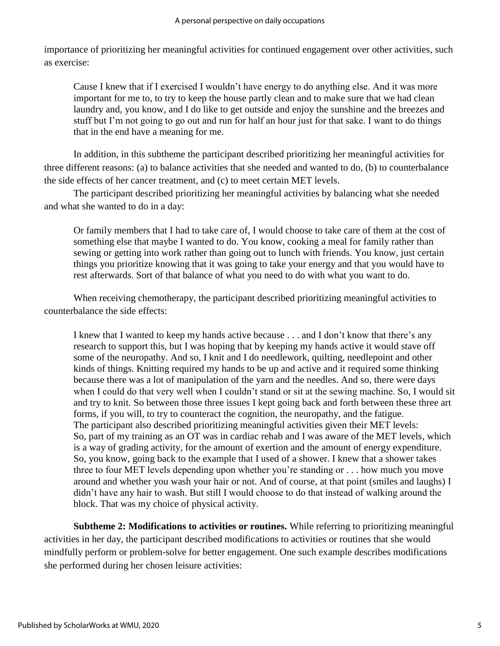importance of prioritizing her meaningful activities for continued engagement over other activities, such as exercise:

Cause I knew that if I exercised I wouldn't have energy to do anything else. And it was more important for me to, to try to keep the house partly clean and to make sure that we had clean laundry and, you know, and I do like to get outside and enjoy the sunshine and the breezes and stuff but I'm not going to go out and run for half an hour just for that sake. I want to do things that in the end have a meaning for me.

In addition, in this subtheme the participant described prioritizing her meaningful activities for three different reasons: (a) to balance activities that she needed and wanted to do, (b) to counterbalance the side effects of her cancer treatment, and (c) to meet certain MET levels.

The participant described prioritizing her meaningful activities by balancing what she needed and what she wanted to do in a day:

Or family members that I had to take care of, I would choose to take care of them at the cost of something else that maybe I wanted to do. You know, cooking a meal for family rather than sewing or getting into work rather than going out to lunch with friends. You know, just certain things you prioritize knowing that it was going to take your energy and that you would have to rest afterwards. Sort of that balance of what you need to do with what you want to do.

When receiving chemotherapy, the participant described prioritizing meaningful activities to counterbalance the side effects:

I knew that I wanted to keep my hands active because . . . and I don't know that there's any research to support this, but I was hoping that by keeping my hands active it would stave off some of the neuropathy. And so, I knit and I do needlework, quilting, needlepoint and other kinds of things. Knitting required my hands to be up and active and it required some thinking because there was a lot of manipulation of the yarn and the needles. And so, there were days when I could do that very well when I couldn't stand or sit at the sewing machine. So, I would sit and try to knit. So between those three issues I kept going back and forth between these three art forms, if you will, to try to counteract the cognition, the neuropathy, and the fatigue. The participant also described prioritizing meaningful activities given their MET levels: So, part of my training as an OT was in cardiac rehab and I was aware of the MET levels, which is a way of grading activity, for the amount of exertion and the amount of energy expenditure. So, you know, going back to the example that I used of a shower. I knew that a shower takes three to four MET levels depending upon whether you're standing or . . . how much you move around and whether you wash your hair or not. And of course, at that point (smiles and laughs) I didn't have any hair to wash. But still I would choose to do that instead of walking around the block. That was my choice of physical activity.

**Subtheme 2: Modifications to activities or routines.** While referring to prioritizing meaningful activities in her day, the participant described modifications to activities or routines that she would mindfully perform or problem-solve for better engagement. One such example describes modifications she performed during her chosen leisure activities: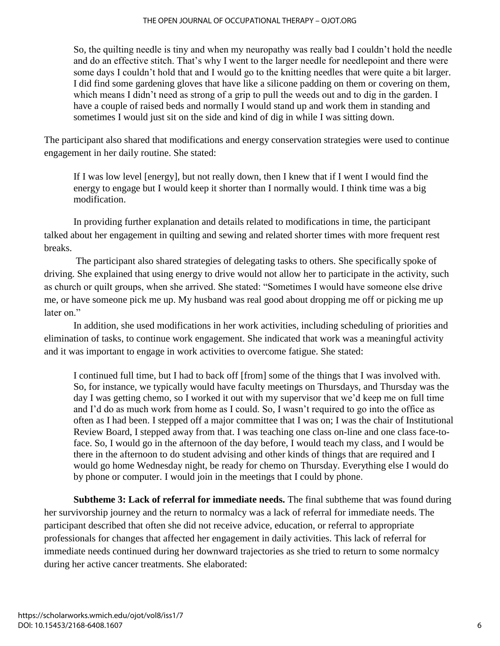So, the quilting needle is tiny and when my neuropathy was really bad I couldn't hold the needle and do an effective stitch. That's why I went to the larger needle for needlepoint and there were some days I couldn't hold that and I would go to the knitting needles that were quite a bit larger. I did find some gardening gloves that have like a silicone padding on them or covering on them, which means I didn't need as strong of a grip to pull the weeds out and to dig in the garden. I have a couple of raised beds and normally I would stand up and work them in standing and sometimes I would just sit on the side and kind of dig in while I was sitting down.

The participant also shared that modifications and energy conservation strategies were used to continue engagement in her daily routine. She stated:

If I was low level [energy], but not really down, then I knew that if I went I would find the energy to engage but I would keep it shorter than I normally would. I think time was a big modification.

In providing further explanation and details related to modifications in time, the participant talked about her engagement in quilting and sewing and related shorter times with more frequent rest breaks.

The participant also shared strategies of delegating tasks to others. She specifically spoke of driving. She explained that using energy to drive would not allow her to participate in the activity, such as church or quilt groups, when she arrived. She stated: "Sometimes I would have someone else drive me, or have someone pick me up. My husband was real good about dropping me off or picking me up later on."

In addition, she used modifications in her work activities, including scheduling of priorities and elimination of tasks, to continue work engagement. She indicated that work was a meaningful activity and it was important to engage in work activities to overcome fatigue. She stated:

I continued full time, but I had to back off [from] some of the things that I was involved with. So, for instance, we typically would have faculty meetings on Thursdays, and Thursday was the day I was getting chemo, so I worked it out with my supervisor that we'd keep me on full time and I'd do as much work from home as I could. So, I wasn't required to go into the office as often as I had been. I stepped off a major committee that I was on; I was the chair of Institutional Review Board, I stepped away from that. I was teaching one class on-line and one class face-toface. So, I would go in the afternoon of the day before, I would teach my class, and I would be there in the afternoon to do student advising and other kinds of things that are required and I would go home Wednesday night, be ready for chemo on Thursday. Everything else I would do by phone or computer. I would join in the meetings that I could by phone.

**Subtheme 3: Lack of referral for immediate needs.** The final subtheme that was found during her survivorship journey and the return to normalcy was a lack of referral for immediate needs. The participant described that often she did not receive advice, education, or referral to appropriate professionals for changes that affected her engagement in daily activities. This lack of referral for immediate needs continued during her downward trajectories as she tried to return to some normalcy during her active cancer treatments. She elaborated: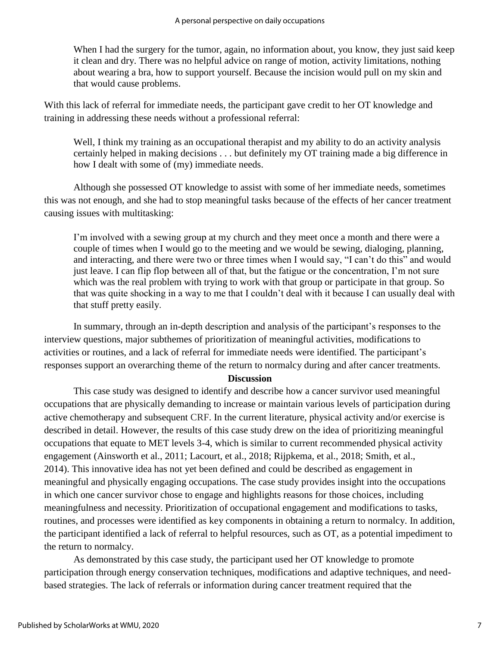When I had the surgery for the tumor, again, no information about, you know, they just said keep it clean and dry. There was no helpful advice on range of motion, activity limitations, nothing about wearing a bra, how to support yourself. Because the incision would pull on my skin and that would cause problems.

With this lack of referral for immediate needs, the participant gave credit to her OT knowledge and training in addressing these needs without a professional referral:

Well, I think my training as an occupational therapist and my ability to do an activity analysis certainly helped in making decisions . . . but definitely my OT training made a big difference in how I dealt with some of (my) immediate needs.

Although she possessed OT knowledge to assist with some of her immediate needs, sometimes this was not enough, and she had to stop meaningful tasks because of the effects of her cancer treatment causing issues with multitasking:

I'm involved with a sewing group at my church and they meet once a month and there were a couple of times when I would go to the meeting and we would be sewing, dialoging, planning, and interacting, and there were two or three times when I would say, "I can't do this" and would just leave. I can flip flop between all of that, but the fatigue or the concentration, I'm not sure which was the real problem with trying to work with that group or participate in that group. So that was quite shocking in a way to me that I couldn't deal with it because I can usually deal with that stuff pretty easily.

In summary, through an in-depth description and analysis of the participant's responses to the interview questions, major subthemes of prioritization of meaningful activities, modifications to activities or routines, and a lack of referral for immediate needs were identified. The participant's responses support an overarching theme of the return to normalcy during and after cancer treatments.

#### **Discussion**

This case study was designed to identify and describe how a cancer survivor used meaningful occupations that are physically demanding to increase or maintain various levels of participation during active chemotherapy and subsequent CRF. In the current literature, physical activity and/or exercise is described in detail. However, the results of this case study drew on the idea of prioritizing meaningful occupations that equate to MET levels 3-4, which is similar to current recommended physical activity engagement (Ainsworth et al., 2011; Lacourt, et al., 2018; Rijpkema, et al., 2018; Smith, et al., 2014). This innovative idea has not yet been defined and could be described as engagement in meaningful and physically engaging occupations. The case study provides insight into the occupations in which one cancer survivor chose to engage and highlights reasons for those choices, including meaningfulness and necessity. Prioritization of occupational engagement and modifications to tasks, routines, and processes were identified as key components in obtaining a return to normalcy. In addition, the participant identified a lack of referral to helpful resources, such as OT, as a potential impediment to the return to normalcy.

As demonstrated by this case study, the participant used her OT knowledge to promote participation through energy conservation techniques, modifications and adaptive techniques, and needbased strategies. The lack of referrals or information during cancer treatment required that the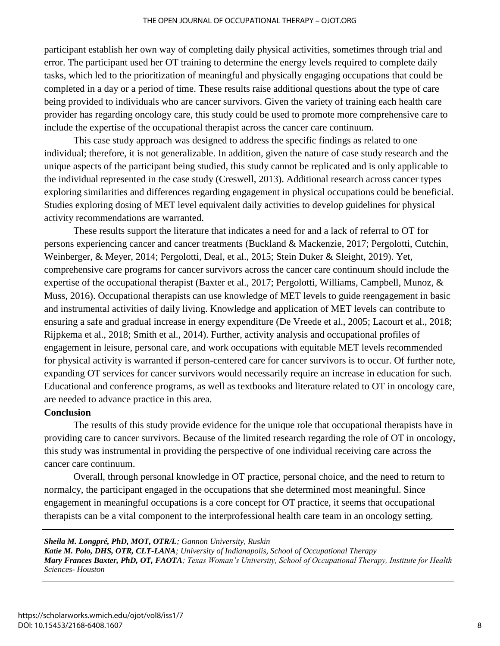participant establish her own way of completing daily physical activities, sometimes through trial and error. The participant used her OT training to determine the energy levels required to complete daily tasks, which led to the prioritization of meaningful and physically engaging occupations that could be completed in a day or a period of time. These results raise additional questions about the type of care being provided to individuals who are cancer survivors. Given the variety of training each health care provider has regarding oncology care, this study could be used to promote more comprehensive care to include the expertise of the occupational therapist across the cancer care continuum.

This case study approach was designed to address the specific findings as related to one individual; therefore, it is not generalizable. In addition, given the nature of case study research and the unique aspects of the participant being studied, this study cannot be replicated and is only applicable to the individual represented in the case study (Creswell, 2013). Additional research across cancer types exploring similarities and differences regarding engagement in physical occupations could be beneficial. Studies exploring dosing of MET level equivalent daily activities to develop guidelines for physical activity recommendations are warranted.

These results support the literature that indicates a need for and a lack of referral to OT for persons experiencing cancer and cancer treatments (Buckland & Mackenzie, 2017; Pergolotti, Cutchin, Weinberger, & Meyer, 2014; Pergolotti, Deal, et al., 2015; Stein Duker & Sleight, 2019). Yet, comprehensive care programs for cancer survivors across the cancer care continuum should include the expertise of the occupational therapist (Baxter et al., 2017; Pergolotti, Williams, Campbell, Munoz, & Muss, 2016). Occupational therapists can use knowledge of MET levels to guide reengagement in basic and instrumental activities of daily living. Knowledge and application of MET levels can contribute to ensuring a safe and gradual increase in energy expenditure (De Vreede et al., 2005; Lacourt et al., 2018; Rijpkema et al., 2018; Smith et al., 2014). Further, activity analysis and occupational profiles of engagement in leisure, personal care, and work occupations with equitable MET levels recommended for physical activity is warranted if person-centered care for cancer survivors is to occur. Of further note, expanding OT services for cancer survivors would necessarily require an increase in education for such. Educational and conference programs, as well as textbooks and literature related to OT in oncology care, are needed to advance practice in this area.

#### **Conclusion**

The results of this study provide evidence for the unique role that occupational therapists have in providing care to cancer survivors. Because of the limited research regarding the role of OT in oncology, this study was instrumental in providing the perspective of one individual receiving care across the cancer care continuum.

Overall, through personal knowledge in OT practice, personal choice, and the need to return to normalcy, the participant engaged in the occupations that she determined most meaningful. Since engagement in meaningful occupations is a core concept for OT practice, it seems that occupational therapists can be a vital component to the interprofessional health care team in an oncology setting.

#### *Sheila M. Longpré, PhD, MOT, OTR/L; Gannon University, Ruskin*

*Katie M. Polo, DHS, OTR, CLT-LANA; University of Indianapolis, School of Occupational Therapy Mary Frances Baxter, PhD, OT, FAOTA; Texas Woman's University, School of Occupational Therapy, Institute for Health Sciences- Houston*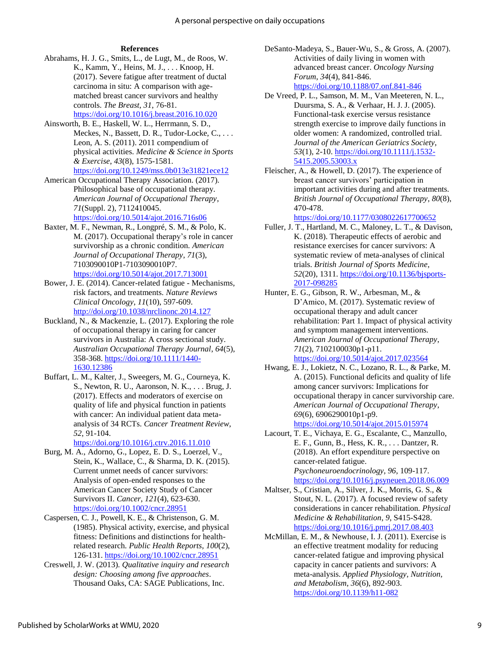#### **References**

- Abrahams, H. J. G., Smits, L., de Lugt, M., de Roos, W. K., Kamm, Y., Heins, M. J., . . . Knoop, H. (2017). Severe fatigue after treatment of ductal carcinoma in situ: A comparison with agematched breast cancer survivors and healthy controls. *The Breast*, *31*, 76-81. <https://doi.org/10.1016/j.breast.2016.10.020>
- Ainsworth, B. E., Haskell, W. L., Herrmann, S. D., Meckes, N., Bassett, D. R., Tudor-Locke, C., . . . Leon, A. S. (2011). 2011 compendium of physical activities. *Medicine & Science in Sports & Exercise*, *43*(8), 1575-1581. <https://doi.org/10.1249/mss.0b013e31821ece12>
- American Occupational Therapy Association. (2017). Philosophical base of occupational therapy. *American Journal of Occupational Therapy*, *71*(Suppl. 2), 7112410045[.](https://doi.org/10.5014/ajot.2017.716S06) <https://doi.org/10.5014/ajot.2016.716s06>
- Baxter, M. F., Newman, R., Longpré, S. M., & Polo, K. M. (2017). Occupational therapy's role in cancer survivorship as a chronic condition. *American Journal of Occupational Therapy*, *71*(3), 7103090010P1-7103090010P7. <https://doi.org/10.5014/ajot.2017.713001>
- Bower, J. E. (2014). Cancer-related fatigue Mechanisms, risk factors, and treatments. *Nature Reviews Clinical Oncology*, *11*(10), 597-609. <http://doi.org/10.1038/nrclinonc.2014.127>
- Buckland, N., & Mackenzie, L. (2017). Exploring the role of occupational therapy in caring for cancer survivors in Australia: A cross sectional study. *Australian Occupational Therapy Journal*, *64*(5), 358-368. [https://doi.org/10.1111/1440-](https://doi.org/10.1111/1440-1630.12386) [1630.12386](https://doi.org/10.1111/1440-1630.12386)
- Buffart, L. M., Kalter, J., Sweegers, M. G., Courneya, K. S., Newton, R. U., Aaronson, N. K., . . . Brug, J. (2017). Effects and moderators of exercise on quality of life and physical function in patients with cancer: An individual patient data metaanalysis of 34 RCTs. *Cancer Treatment Review*, *52*, 91-104.

<https://doi.org/10.1016/j.ctrv.2016.11.010>

- Burg, M. A., Adorno, G., Lopez, E. D. S., Loerzel, V., Stein, K., Wallace, C., & Sharma, D. K. (2015). Current unmet needs of cancer survivors: Analysis of open‐ended responses to the American Cancer Society Study of Cancer Survivors II. *Cancer*, *121*(4), 623-630. <https://doi.org/10.1002/cncr.28951>
- Caspersen, C. J., Powell, K. E., & Christenson, G. M. (1985). Physical activity, exercise, and physical fitness: Definitions and distinctions for healthrelated research. *Public Health Reports*, *100*(2), 126-131.<https://doi.org/10.1002/cncr.28951>
- Creswell, J. W. (2013). *Qualitative inquiry and research design: Choosing among five approaches*. Thousand Oaks, CA: SAGE Publications, Inc.
- DeSanto-Madeya, S., Bauer-Wu, S., & Gross, A. (2007). Activities of daily living in women with advanced breast cancer. *Oncology Nursing Forum*, *34*(4), 841-846. <https://doi.org/10.1188/07.onf.841-846>
- De Vreed, P. L., Samson, M. M., Van Meeteren, N. L., Duursma, S. A., & Verhaar, H. J. J. (2005). Functional-task exercise versus resistance strength exercise to improve daily functions in older women: A randomized, controlled trial. *Journal of the American Geriatrics Society*, *53*(1), 2-10. [https://doi.org/10.1111/j.1532-](https://doi.org/10.1111/j.1532-5415.2005.53003.x) [5415.2005.53003.x](https://doi.org/10.1111/j.1532-5415.2005.53003.x)
- Fleischer, A., & Howell, D. (2017). The experience of breast cancer survivors' participation in important activities during and after treatments. *British Journal of Occupational Therapy*, *80*(8), 470-478.

<https://doi.org/10.1177/0308022617700652>

- Fuller, J. T., Hartland, M. C., Maloney, L. T., & Davison, K. (2018). Therapeutic effects of aerobic and resistance exercises for cancer survivors: A systematic review of meta-analyses of clinical trials. *British Journal of Sports Medicine*, *52*(20), 1311[. https://doi.org/10.1136/bjsports-](https://doi.org/10.1136/bjsports-2017-098285)[2017-098285](https://doi.org/10.1136/bjsports-2017-098285)
- Hunter, E. G., Gibson, R. W., Arbesman, M., & D'Amico, M. (2017). Systematic review of occupational therapy and adult cancer rehabilitation: Part 1. Impact of physical activity and symptom management interventions. *American Journal of Occupational Therapy*, *71*(2), 7102100030p1-p11. <https://doi.org/10.5014/ajot.2017.023564>
- Hwang, E. J., Lokietz, N. C., Lozano, R. L., & Parke, M. A. (2015). Functional deficits and quality of life among cancer survivors: Implications for occupational therapy in cancer survivorship care. *American Journal of Occupational Therapy*, *69*(6), 6906290010p1-p9. <https://doi.org/10.5014/ajot.2015.015974>
- Lacourt, T. E., Vichaya, E. G., Escalante, C., Manzullo, E. F., Gunn, B., Hess, K. R., . . . Dantzer, R. (2018). An effort expenditure perspective on cancer-related fatigue. *Psychoneuroendocrinology*, *96*, 109-117. <https://doi.org/10.1016/j.psyneuen.2018.06.009>
- Maltser, S., Cristian, A., Silver, J. K., Morris, G. S., & Stout, N. L. (2017). A focused review of safety considerations in cancer rehabilitation. *Physical Medicine & Rehabilitation*, *9*, S415-S428. <https://doi.org/10.1016/j.pmrj.2017.08.403>
- McMillan, E. M., & Newhouse, I. J. (2011). Exercise is an effective treatment modality for reducing cancer-related fatigue and improving physical capacity in cancer patients and survivors: A meta-analysis. *Applied Physiology, Nutrition, and Metabolism*, *36*(6), 892-903. <https://doi.org/10.1139/h11-082>